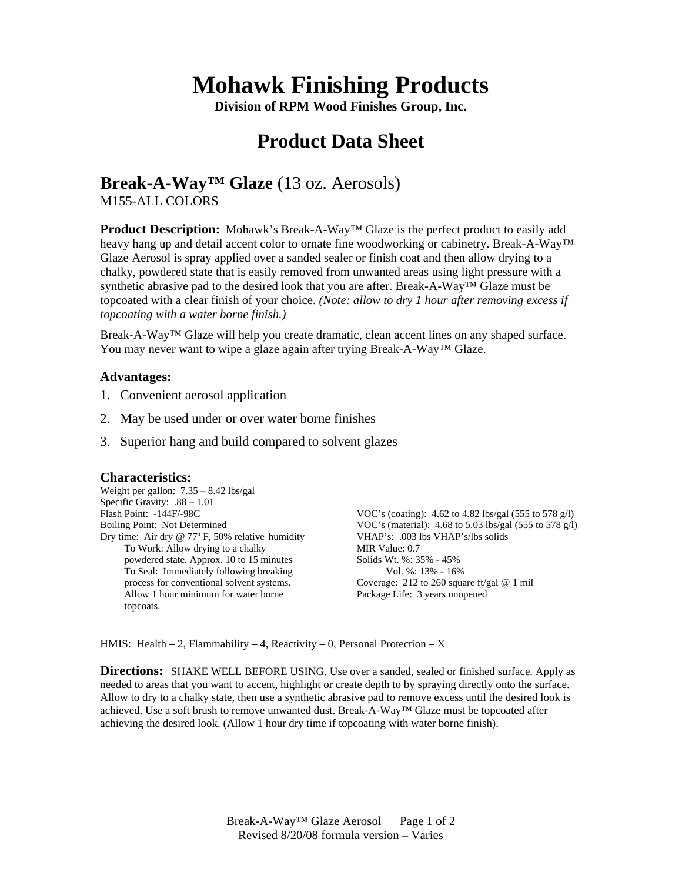# **Mohawk Finishing Products**

**Division of RPM Wood Finishes Group, Inc.** 

## **Product Data Sheet**

### **Break-A-Way™ Glaze** (13 oz. Aerosols)

M155-ALL COLORS

**Product Description:** Mohawk's Break-A-Way™ Glaze is the perfect product to easily add heavy hang up and detail accent color to ornate fine woodworking or cabinetry. Break-A-Way™ Glaze Aerosol is spray applied over a sanded sealer or finish coat and then allow drying to a chalky, powdered state that is easily removed from unwanted areas using light pressure with a synthetic abrasive pad to the desired look that you are after. Break-A-Way<sup>TM</sup> Glaze must be topcoated with a clear finish of your choice. *(Note: allow to dry 1 hour after removing excess if topcoating with a water borne finish.)*

Break-A-Way™ Glaze will help you create dramatic, clean accent lines on any shaped surface. You may never want to wipe a glaze again after trying Break-A-Way™ Glaze.

### **Advantages:**

- 1. Convenient aerosol application
- 2. May be used under or over water borne finishes
- 3. Superior hang and build compared to solvent glazes

#### **Characteristics:**

Weight per gallon: 7.35 – 8.42 lbs/gal Specific Gravity: .88 – 1.01 Flash Point: -144F/-98C Boiling Point: Not Determined Dry time: Air dry @ 77º F, 50% relative humidity To Work: Allow drying to a chalky powdered state. Approx. 10 to 15 minutes To Seal: Immediately following breaking process for conventional solvent systems. Allow 1 hour minimum for water borne topcoats.

VOC's (coating): 4.62 to 4.82 lbs/gal (555 to 578 g/l) VOC's (material): 4.68 to 5.03 lbs/gal (555 to 578 g/l) VHAP's: .003 lbs VHAP's/lbs solids MIR Value: 0.7 Solids Wt. %: 35% - 45% Vol. %: 13% - 16% Coverage: 212 to 260 square ft/gal @ 1 mil Package Life: 3 years unopened

<u>HMIS:</u> Health – 2, Flammability – 4, Reactivity – 0, Personal Protection – X

**Directions:** SHAKE WELL BEFORE USING. Use over a sanded, sealed or finished surface. Apply as needed to areas that you want to accent, highlight or create depth to by spraying directly onto the surface. Allow to dry to a chalky state, then use a synthetic abrasive pad to remove excess until the desired look is achieved. Use a soft brush to remove unwanted dust. Break-A-Way™ Glaze must be topcoated after achieving the desired look. (Allow 1 hour dry time if topcoating with water borne finish).